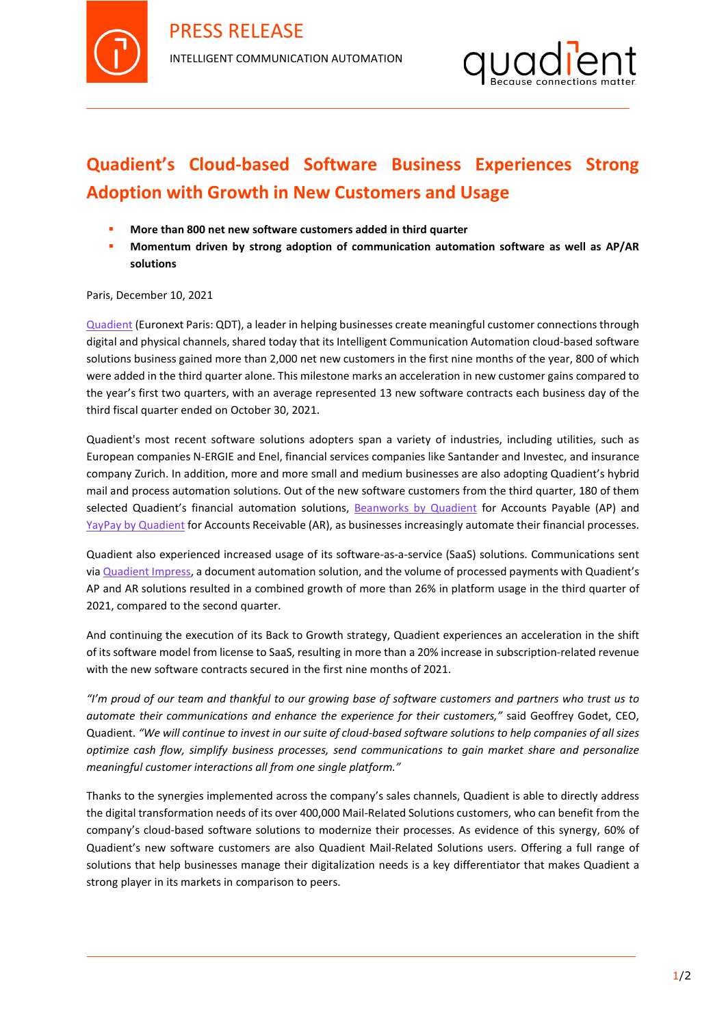



## **Quadient's Cloud-based Software Business Experiences Strong Adoption with Growth in New Customers and Usage**

- **More than 800 net new software customers added in third quarter**
- **Momentum driven by strong adoption of communication automation software as well as AP/AR solutions**

Paris, December 10, 2021

[Quadient](http://www.quadient.com/) (Euronext Paris: QDT), a leader in helping businesses create meaningful customer connections through digital and physical channels, shared today that its Intelligent Communication Automation cloud-based software solutions business gained more than 2,000 net new customers in the first nine months of the year, 800 of which were added in the third quarter alone. This milestone marks an acceleration in new customer gains compared to the year's first two quarters, with an average represented 13 new software contracts each business day of the third fiscal quarter ended on October 30, 2021.

Quadient's most recent software solutions adopters span a variety of industries, including utilities, such as European companies N-ERGIE and Enel, financial services companies like Santander and Investec, and insurance company Zurich. In addition, more and more small and medium businesses are also adopting Quadient's hybrid mail and process automation solutions. Out of the new software customers from the third quarter, 180 of them selected Quadient's financial automation solutions, [Beanworks by Quadient](http://www.beanworks.com/) for Accounts Payable (AP) and [YayPay by Quadient](http://www.yaypay.com/) for Accounts Receivable (AR), as businesses increasingly automate their financial processes.

Quadient also experienced increased usage of its software-as-a-service (SaaS) solutions. Communications sent vi[a Quadient Impress,](https://www.quadient.com/intelligent-communication/customer-communications/impress-platform) a document automation solution, and the volume of processed payments with Quadient's AP and AR solutions resulted in a combined growth of more than 26% in platform usage in the third quarter of 2021, compared to the second quarter.

And continuing the execution of its Back to Growth strategy, Quadient experiences an acceleration in the shift of its software model from license to SaaS, resulting in more than a 20% increase in subscription-related revenue with the new software contracts secured in the first nine months of 2021.

*"I'm proud of our team and thankful to our growing base of software customers and partners who trust us to automate their communications and enhance the experience for their customers,"* said Geoffrey Godet, CEO, Quadient. *"We will continue to invest in our suite of cloud-based software solutions to help companies of all sizes optimize cash flow, simplify business processes, send communications to gain market share and personalize meaningful customer interactions all from one single platform."*

Thanks to the synergies implemented across the company's sales channels, Quadient is able to directly address the digital transformation needs of its over 400,000 Mail-Related Solutions customers, who can benefit from the company's cloud-based software solutions to modernize their processes. As evidence of this synergy, 60% of Quadient's new software customers are also Quadient Mail-Related Solutions users. Offering a full range of solutions that help businesses manage their digitalization needs is a key differentiator that makes Quadient a strong player in its markets in comparison to peers.